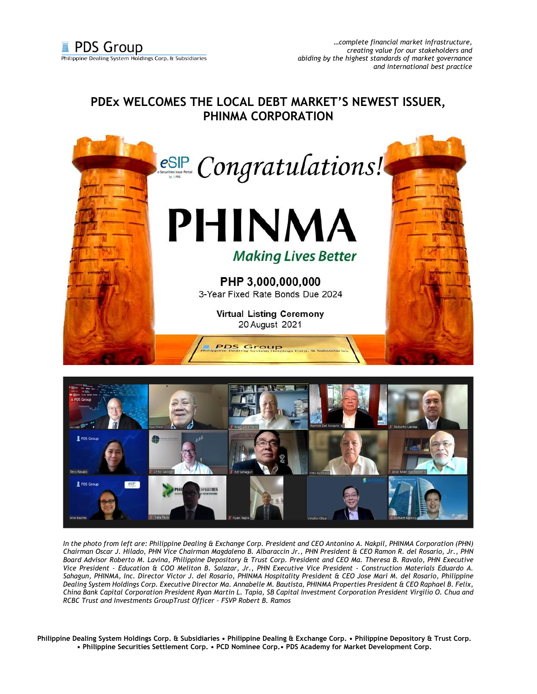## **PDEx WELCOMES THE LOCAL DEBT MARKET'S NEWEST ISSUER, PHINMA CORPORATION**





*In the photo from left are: Philippine Dealing & Exchange Corp. President and CEO Antonino A. Nakpil, PHINMA Corporation (PHN) Chairman Oscar J. Hilado, PHN Vice Chairman Magdaleno B. Albaraccin Jr., PHN President & CEO Ramon R. del Rosario, Jr., PHN Board Advisor Roberto M. Lavina, Philippine Depository & Trust Corp. President and CEO Ma. Theresa B. Ravalo, PHN Executive Vice President - Education & COO Meliton B. Salazar, Jr., PHN Executive Vice President - Construction Materials Eduardo A. Sahagun, PHINMA, Inc. Director Victor J. del Rosario, PHINMA Hospitality President & CEO Jose Mari M. del Rosario, Philippine Dealing System Holdings Corp. Executive Director Ma. Annabelle M. Bautista, PHINMA Properties President & CEO Raphael B. Felix, China Bank Capital Corporation President Ryan Martin L. Tapia, SB Capital Investment Corporation President Virgilio O. Chua and RCBC Trust and Investments GroupTrust Officer – FSVP Robert B. Ramos*

**Philippine Dealing System Holdings Corp. & Subsidiaries • Philippine Dealing & Exchange Corp. • Philippine Depository & Trust Corp. • Philippine Securities Settlement Corp. • PCD Nominee Corp.• PDS Academy for Market Development Corp.**